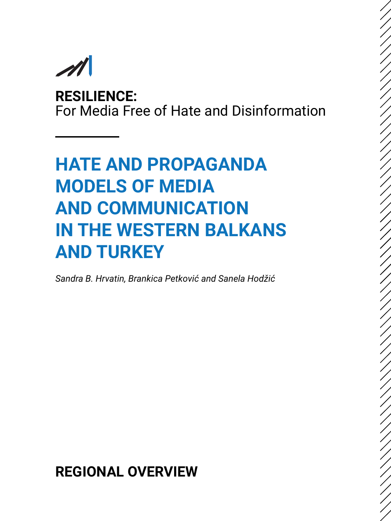**RESILIENCE:** For Media Free of Hate and Disinformation

# **HATE AND PROPAGANDA MODELS OF MEDIA AND COMMUNICATION IN THE WESTERN BALKANS AND TURKEY**

*Sandra B. Hrvatin, Brankica Petković and Sanela Hodžić*

**REGIONAL OVERVIEW**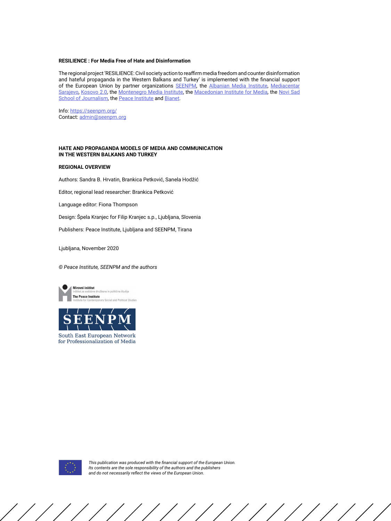#### **RESILIENCE : For Media Free of Hate and Disinformation**

The regional project 'RESILIENCE: Civil society action to reaffirm media freedom and counter disinformation and hateful propaganda in the Western Balkans and Turkey' is implemented with the financial support of the European Union by partner organizations [SEENPM](https://seenpm.org/), the [Albanian Media Institute](http://www.institutemedia.org/), [Mediacentar](https://www.media.ba/bs) [Sarajevo](https://www.media.ba/bs), [Kosovo 2.0](https://kosovotwopointzero.com/en/), the [Montenegro Media Institute](https://www.mminstitute.org/), the [Macedonian Institute for Media](https://mim.org.mk/en/), the [Novi Sad](https://www.novinarska-skola.org.rs/sr/?lang=en) [School of Journalism](https://www.novinarska-skola.org.rs/sr/?lang=en), the [Peace Institute](https://www.mirovni-institut.si/en/) and [Bianet](http://bianet.org/english).

Info: <https://seenpm.org/> Contact: [admin@seenpm.org](mailto:admin%40seenpm.org?subject=)

#### **HATE AND PROPAGANDA MODELS OF MEDIA AND COMMUNICATION IN THE WESTERN BALKANS AND TURKEY**

#### **REGIONAL OVERVIEW**

Authors: Sandra B. Hrvatin, Brankica Petković, Sanela Hodžić

Editor, regional lead researcher: Brankica Petković

Language editor: Fiona Thompson

Design: Špela Kranjec for Filip Kranjec s.p., Ljubljana, Slovenia

Publishers: Peace Institute, Ljubljana and SEENPM, Tirana

Ljubljana, November 2020

*© Peace Institute, SEENPM and the authors*





South East European Network for Professionalization of Media



*This publication was produced with the financial support of the European Union. Its contents are the sole responsibility of the authors and the publishers and do not necessarily reflect the views of the European Union.*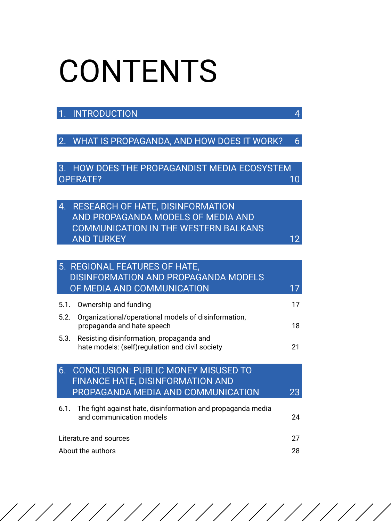# CONTENTS

# [1. INTRODUCTION 4](#page-3-0)

[2. WHAT IS PROPAGANDA, AND HOW DOES IT WORK? 6](#page-5-0)

[3. HOW DOES THE PROPAGANDIST MEDIA ECOSYSTEM](#page-9-0)  [OPERATE? 10](#page-9-0) and 20 and 20 and 20 and 20 and 20 and 20 and 20 and 20 and 20 and 20 and 20 and 20 and 20 and 20

|  | 4. RESEARCH OF HATE, DISINFORMATION  |    |
|--|--------------------------------------|----|
|  | AND PROPAGANDA MODELS OF MEDIA AND   |    |
|  | COMMUNICATION IN THE WESTERN BALKANS |    |
|  | <b>AND TURKEY</b>                    | 12 |

| 5. REGIONAL FEATURES OF HATE,<br><b>DISINFORMATION AND PROPAGANDA MODELS</b>                                                      |    |
|-----------------------------------------------------------------------------------------------------------------------------------|----|
| OF MEDIA AND COMMUNICATION                                                                                                        |    |
| Ownership and funding<br>5.1.                                                                                                     | 17 |
| Organizational/operational models of disinformation,<br>5.2.<br>propaganda and hate speech                                        | 18 |
| Resisting disinformation, propaganda and<br>5.3.<br>hate models: (self)regulation and civil society                               | 21 |
| <b>CONCLUSION: PUBLIC MONEY MISUSED TO</b><br>6.<br><b>FINANCE HATE, DISINFORMATION AND</b><br>PROPAGANDA MEDIA AND COMMUNICATION | 23 |
| The fight against hate, disinformation and propaganda media<br>6.1.<br>and communication models                                   | 24 |
| Literature and sources                                                                                                            |    |
| About the authors                                                                                                                 |    |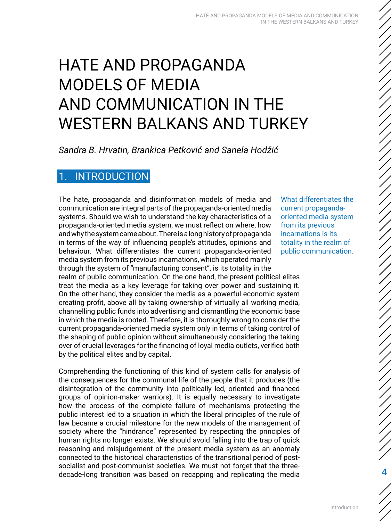# <span id="page-3-0"></span>HATE AND PROPAGANDA MODELS OF MEDIA AND COMMUNICATION IN THE WESTERN BALKANS AND TURKEY

*Sandra B. Hrvatin, Brankica Petković and Sanela Hodžić*

# **INTRODUCTION**

The hate, propaganda and disinformation models of media and communication are integral parts of the propaganda-oriented media systems. Should we wish to understand the key characteristics of a propaganda-oriented media system, we must reflect on where, how and why the system came about. There is a long history of propaganda in terms of the way of influencing people's attitudes, opinions and behaviour. What differentiates the current propaganda-oriented media system from its previous incarnations, which operated mainly through the system of "manufacturing consent", is its totality in the realm of public communication. On the one hand, the present political elites treat the media as a key leverage for taking over power and sustaining it. On the other hand, they consider the media as a powerful economic system creating profit, above all by taking ownership of virtually all working media, channelling public funds into advertising and dismantling the economic base in which the media is rooted. Therefore, it is thoroughly wrong to consider the current propaganda-oriented media system only in terms of taking control of the shaping of public opinion without simultaneously considering the taking over of crucial leverages for the financing of loyal media outlets, verified both by the political elites and by capital.

Comprehending the functioning of this kind of system calls for analysis of the consequences for the communal life of the people that it produces (the disintegration of the community into politically led, oriented and financed groups of opinion-maker warriors). It is equally necessary to investigate how the process of the complete failure of mechanisms protecting the public interest led to a situation in which the liberal principles of the rule of law became a crucial milestone for the new models of the management of society where the "hindrance" represented by respecting the principles of human rights no longer exists. We should avoid falling into the trap of quick reasoning and misjudgement of the present media system as an anomaly connected to the historical characteristics of the transitional period of postsocialist and post-communist societies. We must not forget that the threedecade-long transition was based on recapping and replicating the media

What differentiates the current propagandaoriented media system from its previous incarnations is its totality in the realm of public communication.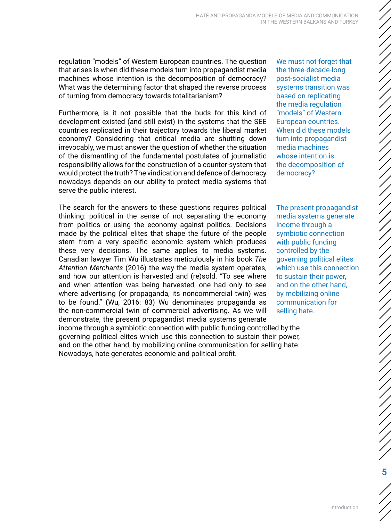regulation "models" of Western European countries. The question that arises is when did these models turn into propagandist media machines whose intention is the decomposition of democracy? What was the determining factor that shaped the reverse process of turning from democracy towards totalitarianism?

Furthermore, is it not possible that the buds for this kind of development existed (and still exist) in the systems that the SEE countries replicated in their trajectory towards the liberal market economy? Considering that critical media are shutting down irrevocably, we must answer the question of whether the situation of the dismantling of the fundamental postulates of journalistic responsibility allows for the construction of a counter-system that would protect the truth? The vindication and defence of democracy nowadays depends on our ability to protect media systems that serve the public interest.

The search for the answers to these questions requires political thinking: political in the sense of not separating the economy from politics or using the economy against politics. Decisions made by the political elites that shape the future of the people stem from a very specific economic system which produces these very decisions. The same applies to media systems. Canadian lawyer Tim Wu illustrates meticulously in his book *The Attention Merchants* (2016) the way the media system operates, and how our attention is harvested and (re)sold. "To see where and when attention was being harvested, one had only to see where advertising (or propaganda, its noncommercial twin) was to be found." (Wu, 2016: 83) Wu denominates propaganda as the non-commercial twin of commercial advertising. As we will demonstrate, the present propagandist media systems generate income through a symbiotic connection with public funding controlled by the governing political elites which use this connection to sustain their power, and on the other hand, by mobilizing online communication for selling hate. Nowadays, hate generates economic and political profit.

We must not forget that the three-decade-long post-socialist media systems transition was based on replicating the media regulation "models" of Western European countries. When did these models turn into propagandist media machines whose intention is the decomposition of democracy?

The present propagandist media systems generate income through a symbiotic connection with public funding controlled by the governing political elites which use this connection to sustain their power, and on the other hand, by mobilizing online communication for selling hate.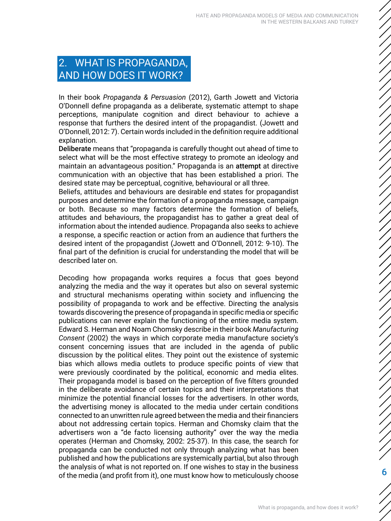# <span id="page-5-0"></span>2. WHAT IS PROPAGANDA, AND HOW DOES IT WORK?

In their book *Propaganda & Persuasion* (2012), Garth Jowett and Victoria O'Donnell define propaganda as a deliberate, systematic attempt to shape perceptions, manipulate cognition and direct behaviour to achieve a response that furthers the desired intent of the propagandist. (Jowett and O'Donnell, 2012: 7). Certain words included in the definition require additional explanation.

Deliberate means that "propaganda is carefully thought out ahead of time to select what will be the most effective strategy to promote an ideology and maintain an advantageous position." Propaganda is an attempt at directive communication with an objective that has been established a priori. The desired state may be perceptual, cognitive, behavioural or all three.

Beliefs, attitudes and behaviours are desirable end states for propagandist purposes and determine the formation of a propaganda message, campaign or both. Because so many factors determine the formation of beliefs, attitudes and behaviours, the propagandist has to gather a great deal of information about the intended audience. Propaganda also seeks to achieve a response, a specific reaction or action from an audience that furthers the desired intent of the propagandist (Jowett and O'Donnell, 2012: 9-10). The final part of the definition is crucial for understanding the model that will be described later on.

Decoding how propaganda works requires a focus that goes beyond analyzing the media and the way it operates but also on several systemic and structural mechanisms operating within society and influencing the possibility of propaganda to work and be effective. Directing the analysis towards discovering the presence of propaganda in specific media or specific publications can never explain the functioning of the entire media system. Edward S. Herman and Noam Chomsky describe in their book *Manufacturing Consent* (2002) the ways in which corporate media manufacture society's consent concerning issues that are included in the agenda of public discussion by the political elites. They point out the existence of systemic bias which allows media outlets to produce specific points of view that were previously coordinated by the political, economic and media elites. Their propaganda model is based on the perception of five filters grounded in the deliberate avoidance of certain topics and their interpretations that minimize the potential financial losses for the advertisers. In other words, the advertising money is allocated to the media under certain conditions connected to an unwritten rule agreed between the media and their financiers about not addressing certain topics. Herman and Chomsky claim that the advertisers won a "de facto licensing authority" over the way the media operates (Herman and Chomsky, 2002: 25-37). In this case, the search for propaganda can be conducted not only through analyzing what has been published and how the publications are systemically partial, but also through the analysis of what is not reported on. If one wishes to stay in the business of the media (and profit from it), one must know how to meticulously choose

ノノノノノノノノノノノノノノノノノノノノノノノノノノノノノノノノノノノノノ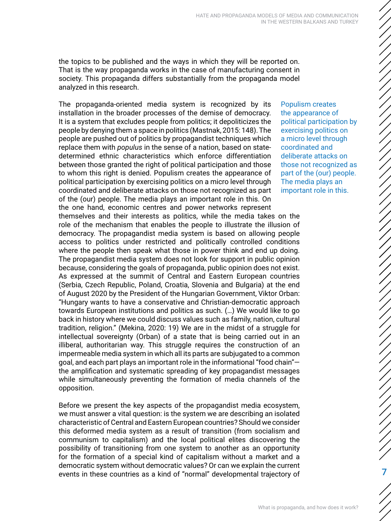the topics to be published and the ways in which they will be reported on. That is the way propaganda works in the case of manufacturing consent in society. This propaganda differs substantially from the propaganda model analyzed in this research.

The propaganda-oriented media system is recognized by its installation in the broader processes of the demise of democracy. It is a system that excludes people from politics; it depoliticizes the people by denying them a space in politics (Mastnak, 2015: 148). The people are pushed out of politics by propagandist techniques which replace them with *populus* in the sense of a nation, based on statedetermined ethnic characteristics which enforce differentiation between those granted the right of political participation and those to whom this right is denied. Populism creates the appearance of political participation by exercising politics on a micro level through coordinated and deliberate attacks on those not recognized as part of the (our) people. The media plays an important role in this. On the one hand, economic centres and power networks represent themselves and their interests as politics, while the media takes on the role of the mechanism that enables the people to illustrate the illusion of democracy. The propagandist media system is based on allowing people access to politics under restricted and politically controlled conditions where the people then speak what those in power think and end up doing. The propagandist media system does not look for support in public opinion because, considering the goals of propaganda, public opinion does not exist. As expressed at the summit of Central and Eastern European countries (Serbia, Czech Republic, Poland, Croatia, Slovenia and Bulgaria) at the end of August 2020 by the President of the Hungarian Government, Viktor Orban: "Hungary wants to have a conservative and Christian-democratic approach towards European institutions and politics as such. (…) We would like to go back in history where we could discuss values such as family, nation, cultural tradition, religion." (Mekina, 2020: 19) We are in the midst of a struggle for intellectual sovereignty (Orban) of a state that is being carried out in an illiberal, authoritarian way. This struggle requires the construction of an impermeable media system in which all its parts are subjugated to a common goal, and each part plays an important role in the informational "food chain" the amplification and systematic spreading of key propagandist messages while simultaneously preventing the formation of media channels of the opposition.

Before we present the key aspects of the propagandist media ecosystem, we must answer a vital question: is the system we are describing an isolated characteristic of Central and Eastern European countries? Should we consider this deformed media system as a result of transition (from socialism and communism to capitalism) and the local political elites discovering the possibility of transitioning from one system to another as an opportunity for the formation of a special kind of capitalism without a market and a democratic system without democratic values? Or can we explain the current events in these countries as a kind of "normal" developmental trajectory of

Populism creates the appearance of political participation by exercising politics on a micro level through coordinated and deliberate attacks on those not recognized as part of the (our) people. The media plays an important role in this.

7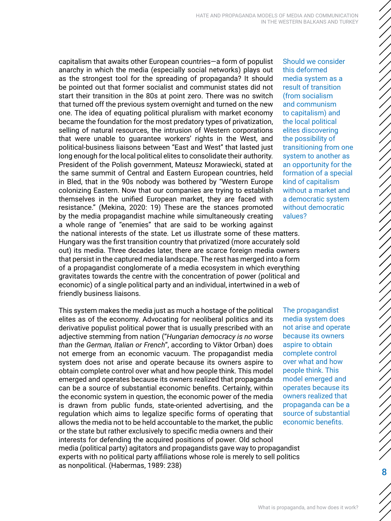capitalism that awaits other European countries—a form of populist anarchy in which the media (especially social networks) plays out as the strongest tool for the spreading of propaganda? It should be pointed out that former socialist and communist states did not start their transition in the 80s at point zero. There was no switch that turned off the previous system overnight and turned on the new one. The idea of equating political pluralism with market economy became the foundation for the most predatory types of privatization, selling of natural resources, the intrusion of Western corporations that were unable to guarantee workers' rights in the West, and political-business liaisons between "East and West" that lasted just long enough for the local political elites to consolidate their authority. President of the Polish government, Mateusz Morawiecki, stated at the same summit of Central and Eastern European countries, held in Bled, that in the 90s nobody was bothered by "Western Europe colonizing Eastern. Now that our companies are trying to establish themselves in the unified European market, they are faced with resistance." (Mekina, 2020: 19) These are the stances promoted by the media propagandist machine while simultaneously creating a whole range of "enemies" that are said to be working against the national interests of the state. Let us illustrate some of these matters.

Hungary was the first transition country that privatized (more accurately sold out) its media. Three decades later, there are scarce foreign media owners that persist in the captured media landscape. The rest has merged into a form of a propagandist conglomerate of a media ecosystem in which everything gravitates towards the centre with the concentration of power (political and economic) of a single political party and an individual, intertwined in a web of friendly business liaisons.

This system makes the media just as much a hostage of the political elites as of the economy. Advocating for neoliberal politics and its derivative populist political power that is usually prescribed with an adjective stemming from nation ("*Hungarian democracy is no worse than the German, Italian or French*", according to Viktor Orban) does not emerge from an economic vacuum. The propagandist media system does not arise and operate because its owners aspire to obtain complete control over what and how people think. This model emerged and operates because its owners realized that propaganda can be a source of substantial economic benefits. Certainly, within the economic system in question, the economic power of the media is drawn from public funds, state-oriented advertising, and the regulation which aims to legalize specific forms of operating that allows the media not to be held accountable to the market, the public or the state but rather exclusively to specific media owners and their interests for defending the acquired positions of power. Old school media (political party) agitators and propagandists gave way to propagandist experts with no political party affiliations whose role is merely to sell politics as nonpolitical. (Habermas, 1989: 238)

Should we consider this deformed media system as a result of transition (from socialism and communism to capitalism) and the local political elites discovering the possibility of transitioning from one system to another as an opportunity for the formation of a special kind of capitalism without a market and a democratic system without democratic values?

The propagandist media system does not arise and operate because its owners aspire to obtain complete control over what and how people think. This model emerged and operates because its owners realized that propaganda can be a source of substantial economic benefits.

ノノノノノノノノノノノノノノ

ノノノノノノノノノノノノノノノノノノノ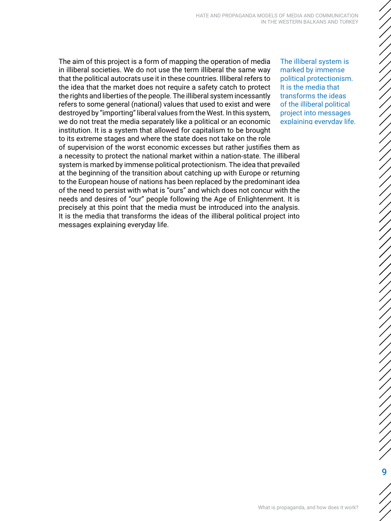The aim of this project is a form of mapping the operation of media in illiberal societies. We do not use the term illiberal the same way that the political autocrats use it in these countries. Illiberal refers to the idea that the market does not require a safety catch to protect the rights and liberties of the people. The illiberal system incessantly refers to some general (national) values that used to exist and were destroyed by "importing" liberal values from the West. In this system, we do not treat the media separately like a political or an economic institution. It is a system that allowed for capitalism to be brought to its extreme stages and where the state does not take on the role of supervision of the worst economic excesses but rather justifies them as a necessity to protect the national market within a nation-state. The illiberal system is marked by immense political protectionism. The idea that prevailed at the beginning of the transition about catching up with Europe or returning to the European house of nations has been replaced by the predominant idea of the need to persist with what is "ours" and which does not concur with the needs and desires of "our" people following the Age of Enlightenment. It is precisely at this point that the media must be introduced into the analysis. It is the media that transforms the ideas of the illiberal political project into messages explaining everyday life.

The illiberal system is marked by immense political protectionism. It is the media that transforms the ideas of the illiberal political project into messages explaining everyday life.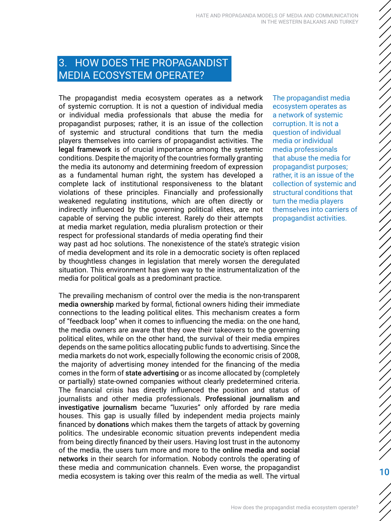# <span id="page-9-0"></span>3. HOW DOES THE PROPAGANDIST MEDIA ECOSYSTEM OPERATE?

The propagandist media ecosystem operates as a network of systemic corruption. It is not a question of individual media or individual media professionals that abuse the media for propagandist purposes; rather, it is an issue of the collection of systemic and structural conditions that turn the media players themselves into carriers of propagandist activities. The legal framework is of crucial importance among the systemic conditions. Despite the majority of the countries formally granting the media its autonomy and determining freedom of expression as a fundamental human right, the system has developed a complete lack of institutional responsiveness to the blatant violations of these principles. Financially and professionally weakened regulating institutions, which are often directly or indirectly influenced by the governing political elites, are not capable of serving the public interest. Rarely do their attempts at media market regulation, media pluralism protection or their respect for professional standards of media operating find their The propagandist media ecosystem operates as a network of systemic corruption. It is not a question of individual media or individual media professionals that abuse the media for propagandist purposes; rather, it is an issue of the collection of systemic and structural conditions that turn the media players themselves into carriers of propagandist activities.

way past ad hoc solutions. The nonexistence of the state's strategic vision of media development and its role in a democratic society is often replaced by thoughtless changes in legislation that merely worsen the deregulated situation. This environment has given way to the instrumentalization of the media for political goals as a predominant practice.

The prevailing mechanism of control over the media is the non-transparent media ownership marked by formal, fictional owners hiding their immediate connections to the leading political elites. This mechanism creates a form of "feedback loop" when it comes to influencing the media: on the one hand, the media owners are aware that they owe their takeovers to the governing political elites, while on the other hand, the survival of their media empires depends on the same politics allocating public funds to advertising. Since the media markets do not work, especially following the economic crisis of 2008, the majority of advertising money intended for the financing of the media comes in the form of state advertising or as income allocated by (completely or partially) state-owned companies without clearly predetermined criteria. The financial crisis has directly influenced the position and status of journalists and other media professionals. Professional journalism and investigative journalism became "luxuries" only afforded by rare media houses. This gap is usually filled by independent media projects mainly financed by donations which makes them the targets of attack by governing politics. The undesirable economic situation prevents independent media from being directly financed by their users. Having lost trust in the autonomy of the media, the users turn more and more to the online media and social networks in their search for information. Nobody controls the operating of these media and communication channels. Even worse, the propagandist media ecosystem is taking over this realm of the media as well. The virtual

10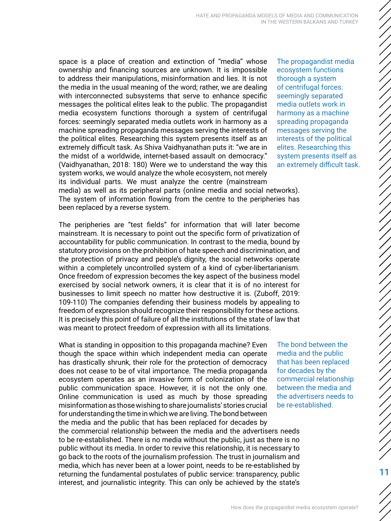space is a place of creation and extinction of "media" whose ownership and financing sources are unknown. It is impossible to address their manipulations, misinformation and lies. It is not the media in the usual meaning of the word; rather, we are dealing with interconnected subsystems that serve to enhance specific messages the political elites leak to the public. The propagandist media ecosystem functions thorough a system of centrifugal forces: seemingly separated media outlets work in harmony as a machine spreading propaganda messages serving the interests of the political elites. Researching this system presents itself as an extremely difficult task. As Shiva Vaidhyanathan puts it: "we are in the midst of a worldwide, internet-based assault on democracy." (Vaidhyanathan, 2018: 180) Were we to understand the way this system works, we would analyze the whole ecosystem, not merely its individual parts. We must analyze the centre (mainstream media) as well as its peripheral parts (online media and social networks).

The propagandist media ecosystem functions thorough a system of centrifugal forces: seemingly separated media outlets work in harmony as a machine spreading propaganda messages serving the interests of the political elites. Researching this system presents itself as an extremely difficult task.

The system of information flowing from the centre to the peripheries has been replaced by a reverse system.

The peripheries are "test fields" for information that will later become mainstream. It is necessary to point out the specific form of privatization of accountability for public communication. In contrast to the media, bound by statutory provisions on the prohibition of hate speech and discrimination, and the protection of privacy and people's dignity, the social networks operate within a completely uncontrolled system of a kind of cyber-libertarianism. Once freedom of expression becomes the key aspect of the business model exercised by social network owners, it is clear that it is of no interest for businesses to limit speech no matter how destructive it is. (Zuboff, 2019: 109-110) The companies defending their business models by appealing to freedom of expression should recognize their responsibility for these actions. It is precisely this point of failure of all the institutions of the state of law that was meant to protect freedom of expression with all its limitations.

What is standing in opposition to this propaganda machine? Even though the space within which independent media can operate has drastically shrunk, their role for the protection of democracy does not cease to be of vital importance. The media propaganda ecosystem operates as an invasive form of colonization of the public communication space. However, it is not the only one. Online communication is used as much by those spreading misinformation as those wishing to share journalists' stories crucial for understanding the time in which we are living. The bond between the media and the public that has been replaced for decades by the commercial relationship between the media and the advertisers needs to be re-established. There is no media without the public, just as there is no public without its media. In order to revive this relationship, it is necessary to go back to the roots of the journalism profession. The trust in journalism and media, which has never been at a lower point, needs to be re-established by returning the fundamental postulates of public service: transparency, public interest, and journalistic integrity. This can only be achieved by the state's

The bond between the media and the public that has been replaced for decades by the commercial relationship between the media and the advertisers needs to be re-established.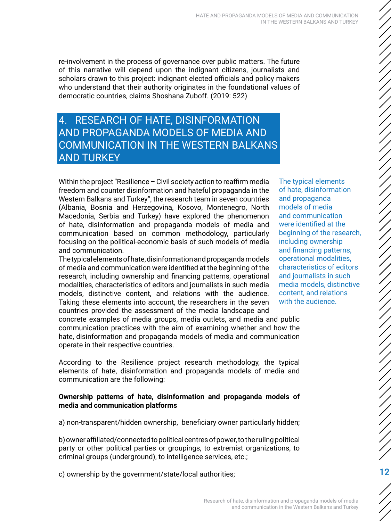<span id="page-11-0"></span>re-involvement in the process of governance over public matters. The future of this narrative will depend upon the indignant citizens, journalists and scholars drawn to this project: indignant elected officials and policy makers who understand that their authority originates in the foundational values of democratic countries, claims Shoshana Zuboff. (2019: 522)

# 4. RESEARCH OF HATE, DISINFORMATION AND PROPAGANDA MODELS OF MEDIA AND COMMUNICATION IN THE WESTERN BALKANS AND TURKEY

Within the project "Resilience – Civil society action to reaffirm media freedom and counter disinformation and hateful propaganda in the Western Balkans and Turkey", the research team in seven countries (Albania, Bosnia and Herzegovina, Kosovo, Montenegro, North Macedonia, Serbia and Turkey) have explored the phenomenon of hate, disinformation and propaganda models of media and communication based on common methodology, particularly focusing on the political-economic basis of such models of media and communication.

The typical elements of hate, disinformation and propaganda models of media and communication were identified at the beginning of the research, including ownership and financing patterns, operational modalities, characteristics of editors and journalists in such media models, distinctive content, and relations with the audience. Taking these elements into account, the researchers in the seven countries provided the assessment of the media landscape and

concrete examples of media groups, media outlets, and media and public communication practices with the aim of examining whether and how the hate, disinformation and propaganda models of media and communication operate in their respective countries.

According to the Resilience project research methodology, the typical elements of hate, disinformation and propaganda models of media and communication are the following:

#### **Ownership patterns of hate, disinformation and propaganda models of media and communication platforms**

a) non-transparent/hidden ownership, beneficiary owner particularly hidden;

b) owner affiliated/connected to political centres of power, to the ruling political party or other political parties or groupings, to extremist organizations, to criminal groups (underground), to intelligence services, etc.;

c) ownership by the government/state/local authorities;

The typical elements of hate, disinformation and propaganda models of media and communication were identified at the beginning of the research, including ownership and financing patterns, operational modalities, characteristics of editors and journalists in such media models, distinctive content, and relations with the audience.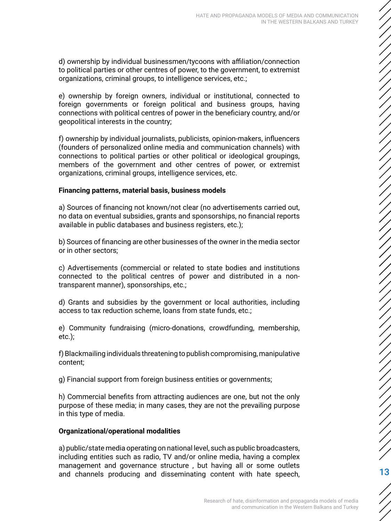d) ownership by individual businessmen/tycoons with affiliation/connection to political parties or other centres of power, to the government, to extremist organizations, criminal groups, to intelligence services, etc.;

e) ownership by foreign owners, individual or institutional, connected to foreign governments or foreign political and business groups, having connections with political centres of power in the beneficiary country, and/or geopolitical interests in the country;

f) ownership by individual journalists, publicists, opinion-makers, influencers (founders of personalized online media and communication channels) with connections to political parties or other political or ideological groupings, members of the government and other centres of power, or extremist organizations, criminal groups, intelligence services, etc.

#### **Financing patterns, material basis, business models**

a) Sources of financing not known/not clear (no advertisements carried out, no data on eventual subsidies, grants and sponsorships, no financial reports available in public databases and business registers, etc.);

b) Sources of financing are other businesses of the owner in the media sector or in other sectors;

c) Advertisements (commercial or related to state bodies and institutions connected to the political centres of power and distributed in a nontransparent manner), sponsorships, etc.;

d) Grants and subsidies by the government or local authorities, including access to tax reduction scheme, loans from state funds, etc.;

e) Community fundraising (micro-donations, crowdfunding, membership, etc.);

f) Blackmailing individuals threatening to publish compromising, manipulative content;

g) Financial support from foreign business entities or governments;

h) Commercial benefits from attracting audiences are one, but not the only purpose of these media; in many cases, they are not the prevailing purpose in this type of media.

#### **Organizational/operational modalities**

a) public/state media operating on national level, such as public broadcasters, including entities such as radio, TV and/or online media, having a complex management and governance structure , but having all or some outlets and channels producing and disseminating content with hate speech, 13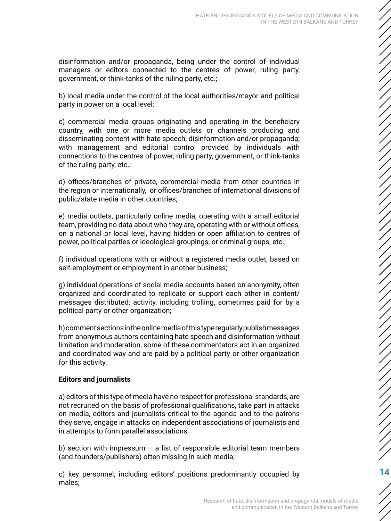disinformation and/or propaganda, being under the control of individual managers or editors connected to the centres of power, ruling party, government, or think-tanks of the ruling party, etc.;

b) local media under the control of the local authorities/mayor and political party in power on a local level;

c) commercial media groups originating and operating in the beneficiary country, with one or more media outlets or channels producing and disseminating content with hate speech, disinformation and/or propaganda; with management and editorial control provided by individuals with connections to the centres of power, ruling party, government, or think-tanks of the ruling party, etc.;

d) offices/branches of private, commercial media from other countries in the region or internationally, or offices/branches of international divisions of public/state media in other countries;

e) media outlets, particularly online media, operating with a small editorial team, providing no data about who they are, operating with or without offices, on a national or local level, having hidden or open affiliation to centres of power, political parties or ideological groupings, or criminal groups, etc.;

f) individual operations with or without a registered media outlet, based on self-employment or employment in another business;

g) individual operations of social media accounts based on anonymity, often organized and coordinated to replicate or support each other in content/ messages distributed; activity, including trolling, sometimes paid for by a political party or other organization;

h) comment sections in the online media of this type regularly publish messages from anonymous authors containing hate speech and disinformation without limitation and moderation, some of these commentators act in an organized and coordinated way and are paid by a political party or other organization for this activity.

#### **Editors and journalists**

a) editors of this type of media have no respect for professional standards, are not recruited on the basis of professional qualifications, take part in attacks on media, editors and journalists critical to the agenda and to the patrons they serve, engage in attacks on independent associations of journalists and in attempts to form parallel associations;

b) section with impressum – a list of responsible editorial team members (and founders/publishers) often missing in such media;

c) key personnel, including editors' positions predominantly occupied by males;

14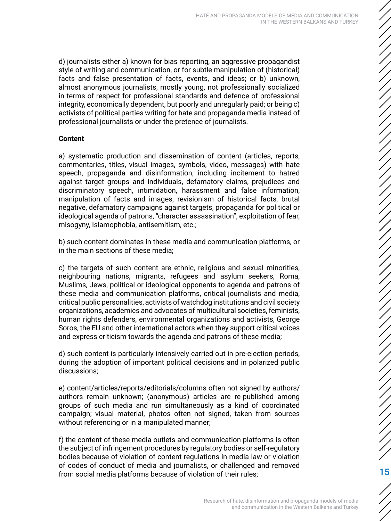d) journalists either a) known for bias reporting, an aggressive propagandist style of writing and communication, or for subtle manipulation of (historical) facts and false presentation of facts, events, and ideas; or b) unknown, almost anonymous journalists, mostly young, not professionally socialized in terms of respect for professional standards and defence of professional integrity, economically dependent, but poorly and unregularly paid; or being c) activists of political parties writing for hate and propaganda media instead of professional journalists or under the pretence of journalists.

#### **Content**

a) systematic production and dissemination of content (articles, reports, commentaries, titles, visual images, symbols, video, messages) with hate speech, propaganda and disinformation, including incitement to hatred against target groups and individuals, defamatory claims, prejudices and discriminatory speech, intimidation, harassment and false information, manipulation of facts and images, revisionism of historical facts, brutal negative, defamatory campaigns against targets, propaganda for political or ideological agenda of patrons, "character assassination", exploitation of fear, misogyny, Islamophobia, antisemitism, etc.;

b) such content dominates in these media and communication platforms, or in the main sections of these media;

c) the targets of such content are ethnic, religious and sexual minorities, neighbouring nations, migrants, refugees and asylum seekers, Roma, Muslims, Jews, political or ideological opponents to agenda and patrons of these media and communication platforms, critical journalists and media, critical public personalities, activists of watchdog institutions and civil society organizations, academics and advocates of multicultural societies, feminists, human rights defenders, environmental organizations and activists, George Soros, the EU and other international actors when they support critical voices and express criticism towards the agenda and patrons of these media;

d) such content is particularly intensively carried out in pre-election periods, during the adoption of important political decisions and in polarized public discussions;

e) content/articles/reports/editorials/columns often not signed by authors/ authors remain unknown; (anonymous) articles are re-published among groups of such media and run simultaneously as a kind of coordinated campaign; visual material, photos often not signed, taken from sources without referencing or in a manipulated manner;

f) the content of these media outlets and communication platforms is often the subject of infringement procedures by regulatory bodies or self-regulatory bodies because of violation of content regulations in media law or violation of codes of conduct of media and journalists, or challenged and removed from social media platforms because of violation of their rules; 15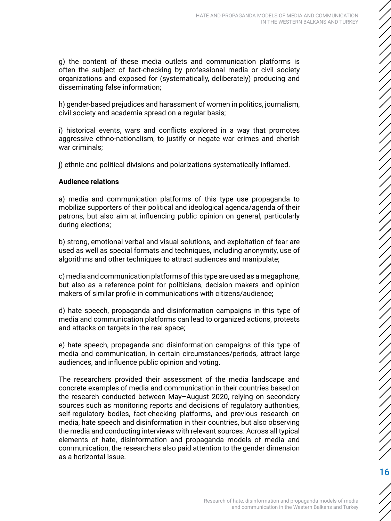g) the content of these media outlets and communication platforms is often the subject of fact-checking by professional media or civil society organizations and exposed for (systematically, deliberately) producing and disseminating false information;

h) gender-based prejudices and harassment of women in politics, journalism, civil society and academia spread on a regular basis;

i) historical events, wars and conflicts explored in a way that promotes aggressive ethno-nationalism, to justify or negate war crimes and cherish war criminals;

j) ethnic and political divisions and polarizations systematically inflamed.

#### **Audience relations**

a) media and communication platforms of this type use propaganda to mobilize supporters of their political and ideological agenda/agenda of their patrons, but also aim at influencing public opinion on general, particularly during elections;

b) strong, emotional verbal and visual solutions, and exploitation of fear are used as well as special formats and techniques, including anonymity, use of algorithms and other techniques to attract audiences and manipulate;

c) media and communication platforms of this type are used as a megaphone, but also as a reference point for politicians, decision makers and opinion makers of similar profile in communications with citizens/audience;

d) hate speech, propaganda and disinformation campaigns in this type of media and communication platforms can lead to organized actions, protests and attacks on targets in the real space;

e) hate speech, propaganda and disinformation campaigns of this type of media and communication, in certain circumstances/periods, attract large audiences, and influence public opinion and voting.

The researchers provided their assessment of the media landscape and concrete examples of media and communication in their countries based on the research conducted between May–August 2020, relying on secondary sources such as monitoring reports and decisions of regulatory authorities, self-regulatory bodies, fact-checking platforms, and previous research on media, hate speech and disinformation in their countries, but also observing the media and conducting interviews with relevant sources. Across all typical elements of hate, disinformation and propaganda models of media and communication, the researchers also paid attention to the gender dimension as a horizontal issue.

ノノノノノノノノノノノノノノノノノノノノノノノノノノノノノノノノノノノノ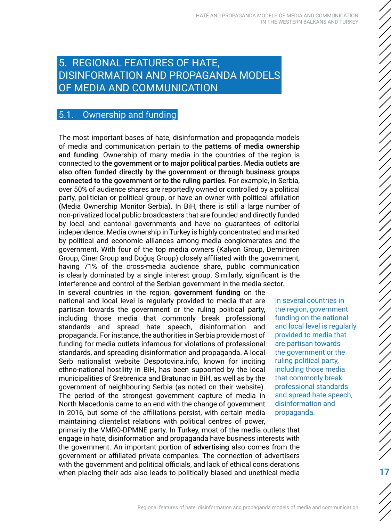# <span id="page-16-0"></span>5. REGIONAL FEATURES OF HATE, DISINFORMATION AND PROPAGANDA MODELS OF MEDIA AND COMMUNICATION

# 5.1. Ownership and funding

The most important bases of hate, disinformation and propaganda models of media and communication pertain to the patterns of media ownership and funding. Ownership of many media in the countries of the region is connected to the government or to major political parties. Media outlets are also often funded directly by the government or through business groups connected to the government or to the ruling parties. For example, in Serbia, over 50% of audience shares are reportedly owned or controlled by a political party, politician or political group, or have an owner with political affiliation (Media Ownership Monitor Serbia). In BiH, there is still a large number of non-privatized local public broadcasters that are founded and directly funded by local and cantonal governments and have no guarantees of editorial independence. Media ownership in Turkey is highly concentrated and marked by political and economic alliances among media conglomerates and the government. With four of the top media owners (Kalyon Group, Demirören Group, Ciner Group and Doğuş Group) closely affiliated with the government, having 71% of the cross-media audience share, public communication is clearly dominated by a single interest group. Similarly, significant is the interference and control of the Serbian government in the media sector.

In several countries in the region, government funding on the national and local level is regularly provided to media that are partisan towards the government or the ruling political party, including those media that commonly break professional standards and spread hate speech, disinformation and propaganda. For instance, the authorities in Serbia provide most of funding for media outlets infamous for violations of professional standards, and spreading disinformation and propaganda. A local Serb nationalist website Despotovina.info, known for inciting ethno-national hostility in BiH, has been supported by the local municipalities of Srebrenica and Bratunac in BiH, as well as by the government of neighbouring Serbia (as noted on their website). The period of the strongest government capture of media in North Macedonia came to an end with the change of government in 2016, but some of the affiliations persist, with certain media maintaining clientelist relations with political centres of power,

In several countries in the region, government funding on the national and local level is regularly provided to media that are partisan towards the government or the ruling political party, including those media that commonly break professional standards and spread hate speech, disinformation and propaganda.

17

primarily the VMRO-DPMNE party. In Turkey, most of the media outlets that engage in hate, disinformation and propaganda have business interests with the government. An important portion of advertising also comes from the government or affiliated private companies. The connection of advertisers with the government and political officials, and lack of ethical considerations when placing their ads also leads to politically biased and unethical media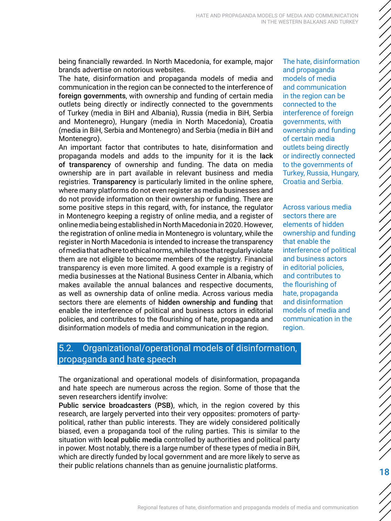being financially rewarded. In North Macedonia, for example, major brands advertise on notorious websites.

The hate, disinformation and propaganda models of media and communication in the region can be connected to the interference of foreign governments, with ownership and funding of certain media outlets being directly or indirectly connected to the governments of Turkey (media in BiH and Albania), Russia (media in BiH, Serbia and Montenegro), Hungary (media in North Macedonia), Croatia (media in BiH, Serbia and Montenegro) and Serbia (media in BiH and Montenegro).

An important factor that contributes to hate, disinformation and propaganda models and adds to the impunity for it is the lack of transparency of ownership and funding. The data on media ownership are in part available in relevant business and media registries. Transparency is particularly limited in the online sphere, where many platforms do not even register as media businesses and do not provide information on their ownership or funding. There are some positive steps in this regard, with, for instance, the regulator in Montenegro keeping a registry of online media, and a register of online media being established in North Macedonia in 2020. However, the registration of online media in Montenegro is voluntary, while the register in North Macedonia is intended to increase the transparency of media that adhere to ethical norms, while those that regularly violate them are not eligible to become members of the registry. Financial transparency is even more limited. A good example is a registry of media businesses at the National Business Center in Albania, which makes available the annual balances and respective documents, as well as ownership data of online media. Across various media sectors there are elements of hidden ownership and funding that enable the interference of political and business actors in editorial policies, and contributes to the flourishing of hate, propaganda and disinformation models of media and communication in the region.

The hate, disinformation and propaganda models of media and communication in the region can be connected to the interference of foreign governments, with ownership and funding of certain media outlets being directly or indirectly connected to the governments of Turkey, Russia, Hungary, Croatia and Serbia.

Across various media sectors there are elements of hidden ownership and funding that enable the interference of political and business actors in editorial policies, and contributes to the flourishing of hate, propaganda and disinformation models of media and communication in the region.

## 5.2. Organizational/operational models of disinformation, propaganda and hate speech

The organizational and operational models of disinformation, propaganda and hate speech are numerous across the region. Some of those that the seven researchers identify involve:

Public service broadcasters (PSB), which, in the region covered by this research, are largely perverted into their very opposites: promoters of partypolitical, rather than public interests. They are widely considered politically biased, even a propaganda tool of the ruling parties. This is similar to the situation with local public media controlled by authorities and political party in power. Most notably, there is a large number of these types of media in BiH, which are directly funded by local government and are more likely to serve as their public relations channels than as genuine journalistic platforms.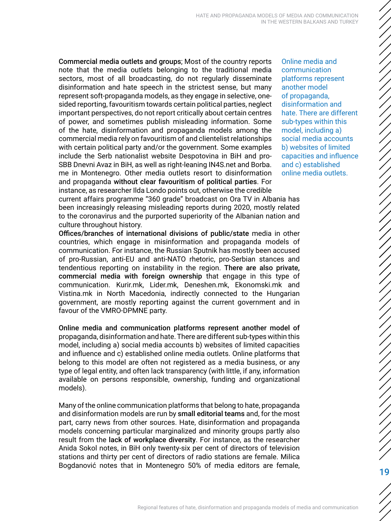<span id="page-18-0"></span>Commercial media outlets and groups; Most of the country reports note that the media outlets belonging to the traditional media sectors, most of all broadcasting, do not regularly disseminate disinformation and hate speech in the strictest sense, but many represent soft-propaganda models, as they engage in selective, onesided reporting, favouritism towards certain political parties, neglect important perspectives, do not report critically about certain centres of power, and sometimes publish misleading information. Some of the hate, disinformation and propaganda models among the commercial media rely on favouritism of and clientelist relationships with certain political party and/or the government. Some examples include the Serb nationalist website Despotovina in BiH and pro-SBB Dnevni Avaz in BiH, as well as right-leaning IN4S.net and Borba. me in Montenegro. Other media outlets resort to disinformation and propaganda without clear favouritism of political parties. For instance, as researcher Ilda Londo points out, otherwise the credible Online media and communication platforms represent another model of propaganda, disinformation and hate. There are different sub-types within this model, including a) social media accounts b) websites of limited capacities and influence and c) established online media outlets.

current affairs programme "360 grade" broadcast on Ora TV in Albania has been increasingly releasing misleading reports during 2020, mostly related to the coronavirus and the purported superiority of the Albanian nation and culture throughout history.

Offices/branches of international divisions of public/state media in other countries, which engage in misinformation and propaganda models of communication. For instance, the Russian Sputnik has mostly been accused of pro-Russian, anti-EU and anti-NATO rhetoric, pro-Serbian stances and tendentious reporting on instability in the region. There are also private, commercial media with foreign ownership that engage in this type of communication. Kurir.mk, Lider.mk, Deneshen.mk, Ekonomski.mk and Vistina.mk in North Macedonia, indirectly connected to the Hungarian government, are mostly reporting against the current government and in favour of the VMRO-DPMNE party.

Online media and communication platforms represent another model of propaganda, disinformation and hate. There are different sub-types within this model, including a) social media accounts b) websites of limited capacities and influence and c) established online media outlets. Online platforms that belong to this model are often not registered as a media business, or any type of legal entity, and often lack transparency (with little, if any, information available on persons responsible, ownership, funding and organizational models).

Many of the online communication platforms that belong to hate, propaganda and disinformation models are run by small editorial teams and, for the most part, carry news from other sources. Hate, disinformation and propaganda models concerning particular marginalized and minority groups partly also result from the lack of workplace diversity. For instance, as the researcher Anida Sokol notes, in BiH only twenty-six per cent of directors of television stations and thirty per cent of directors of radio stations are female. Milica Bogdanović notes that in Montenegro 50% of media editors are female,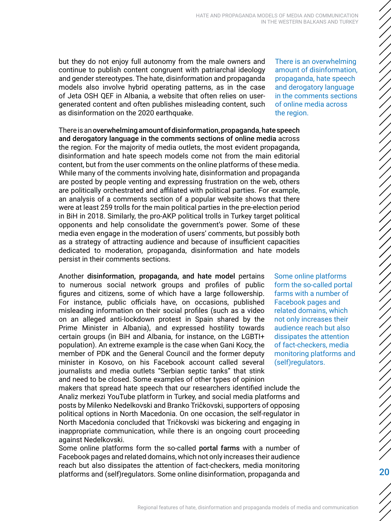but they do not enjoy full autonomy from the male owners and continue to publish content congruent with patriarchal ideology and gender stereotypes. The hate, disinformation and propaganda models also involve hybrid operating patterns, as in the case of Jeta OSH QEF in Albania, a website that often relies on usergenerated content and often publishes misleading content, such as disinformation on the 2020 earthquake.

There is an overwhelming amount of disinformation, propaganda, hate speech and derogatory language in the comments sections of online media across the region. For the majority of media outlets, the most evident propaganda, disinformation and hate speech models come not from the main editorial content, but from the user comments on the online platforms of these media. While many of the comments involving hate, disinformation and propaganda are posted by people venting and expressing frustration on the web, others are politically orchestrated and affiliated with political parties. For example, an analysis of a comments section of a popular website shows that there were at least 259 trolls for the main political parties in the pre-election period in BiH in 2018. Similarly, the pro-AKP political trolls in Turkey target political opponents and help consolidate the government's power. Some of these media even engage in the moderation of users' comments, but possibly both as a strategy of attracting audience and because of insufficient capacities dedicated to moderation, propaganda, disinformation and hate models persist in their comments sections.

Another disinformation, propaganda, and hate model pertains to numerous social network groups and profiles of public figures and citizens, some of which have a large followership. For instance, public officials have, on occasions, published misleading information on their social profiles (such as a video on an alleged anti-lockdown protest in Spain shared by the Prime Minister in Albania), and expressed hostility towards certain groups (in BiH and Albania, for instance, on the LGBTI+ population). An extreme example is the case when Gani Kocy, the member of PDK and the General Council and the former deputy minister in Kosovo, on his Facebook account called several journalists and media outlets "Serbian septic tanks" that stink and need to be closed. Some examples of other types of opinion

makers that spread hate speech that our researchers identified include the Analiz merkezi YouTube platform in Turkey, and social media platforms and posts by Milenko Nedelkovski and Branko Tričkovski, supporters of opposing political options in North Macedonia. On one occasion, the self-regulator in North Macedonia concluded that Tričkovski was bickering and engaging in inappropriate communication, while there is an ongoing court proceeding against Nedelkovski.

Some online platforms form the so-called portal farms with a number of Facebook pages and related domains, which not only increases their audience reach but also dissipates the attention of fact-checkers, media monitoring platforms and (self)regulators. Some online disinformation, propaganda and

There is an overwhelming amount of disinformation, propaganda, hate speech and derogatory language in the comments sections of online media across the region.

Some online platforms form the so-called portal farms with a number of Facebook pages and related domains, which not only increases their audience reach but also dissipates the attention of fact-checkers, media monitoring platforms and (self)regulators.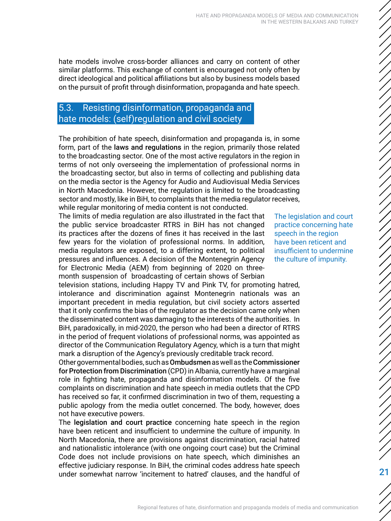<span id="page-20-0"></span>hate models involve cross-border alliances and carry on content of other similar platforms. This exchange of content is encouraged not only often by direct ideological and political affiliations but also by business models based on the pursuit of profit through disinformation, propaganda and hate speech.

# 5.3. Resisting disinformation, propaganda and hate models: (self)regulation and civil society

The prohibition of hate speech, disinformation and propaganda is, in some form, part of the laws and regulations in the region, primarily those related to the broadcasting sector. One of the most active regulators in the region in terms of not only overseeing the implementation of professional norms in the broadcasting sector, but also in terms of collecting and publishing data on the media sector is the Agency for Audio and Audiovisual Media Services in North Macedonia. However, the regulation is limited to the broadcasting sector and mostly, like in BiH, to complaints that the media regulator receives, while regular monitoring of media content is not conducted.

The limits of media regulation are also illustrated in the fact that the public service broadcaster RTRS in BiH has not changed its practices after the dozens of fines it has received in the last few years for the violation of professional norms. In addition, media regulators are exposed, to a differing extent, to political pressures and influences. A decision of the Montenegrin Agency for Electronic Media (AEM) from beginning of 2020 on threemonth suspension of broadcasting of certain shows of Serbian

television stations, including Happy TV and Pink TV, for promoting hatred, intolerance and discrimination against Montenegrin nationals was an important precedent in media regulation, but civil society actors asserted that it only confirms the bias of the regulator as the decision came only when the disseminated content was damaging to the interests of the authorities. In BiH, paradoxically, in mid-2020, the person who had been a director of RTRS in the period of frequent violations of professional norms, was appointed as director of the Communication Regulatory Agency, which is a turn that might mark a disruption of the Agency's previously creditable track record.

Other governmental bodies, such as Ombudsmen as well as the Commissioner for Protection from Discrimination (CPD) in Albania, currently have a marginal role in fighting hate, propaganda and disinformation models. Of the five complaints on discrimination and hate speech in media outlets that the CPD has received so far, it confirmed discrimination in two of them, requesting a public apology from the media outlet concerned. The body, however, does not have executive powers.

The legislation and court practice concerning hate speech in the region have been reticent and insufficient to undermine the culture of impunity. In North Macedonia, there are provisions against discrimination, racial hatred and nationalistic intolerance (with one ongoing court case) but the Criminal Code does not include provisions on hate speech, which diminishes an effective judiciary response. In BiH, the criminal codes address hate speech under somewhat narrow 'incitement to hatred' clauses, and the handful of

The legislation and court practice concerning hate speech in the region have been reticent and insufficient to undermine the culture of impunity.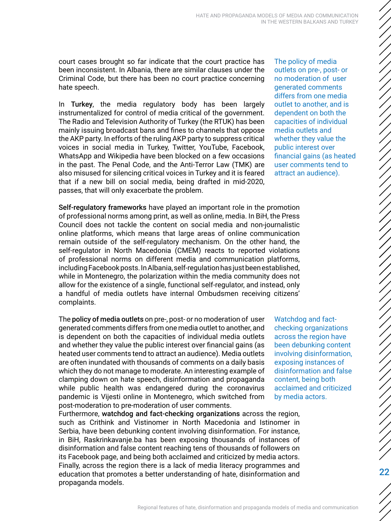court cases brought so far indicate that the court practice has been inconsistent. In Albania, there are similar clauses under the Criminal Code, but there has been no court practice concerning hate speech.

In Turkey, the media regulatory body has been largely instrumentalized for control of media critical of the government. The Radio and Television Authority of Turkey (the RTUK) has been mainly issuing broadcast bans and fines to channels that oppose the AKP party. In efforts of the ruling AKP party to suppress critical voices in social media in Turkey, Twitter, YouTube, Facebook, WhatsApp and Wikipedia have been blocked on a few occasions in the past. The Penal Code, and the Anti-Terror Law (TMK) are also misused for silencing critical voices in Turkey and it is feared that if a new bill on social media, being drafted in mid-2020, passes, that will only exacerbate the problem.

Self-regulatory frameworks have played an important role in the promotion of professional norms among print, as well as online, media. In BiH, the Press Council does not tackle the content on social media and non-journalistic online platforms, which means that large areas of online communication remain outside of the self-regulatory mechanism. On the other hand, the self-regulator in North Macedonia (CMEM) reacts to reported violations of professional norms on different media and communication platforms, including Facebook posts. In Albania, self-regulation has just been established, while in Montenegro, the polarization within the media community does not allow for the existence of a single, functional self-regulator, and instead, only a handful of media outlets have internal Ombudsmen receiving citizens' complaints.

The policy of media outlets on pre-, post- or no moderation of user generated comments differs from one media outlet to another, and is dependent on both the capacities of individual media outlets and whether they value the public interest over financial gains (as heated user comments tend to attract an audience). Media outlets are often inundated with thousands of comments on a daily basis which they do not manage to moderate. An interesting example of clamping down on hate speech, disinformation and propaganda while public health was endangered during the coronavirus pandemic is Vijesti online in Montenegro, which switched from post-moderation to pre-moderation of user comments.

Furthermore, watchdog and fact-checking organizations across the region, such as Crithink and Vistinomer in North Macedonia and Istinomer in Serbia, have been debunking content involving disinformation. For instance, in BiH, Raskrinkavanje.ba has been exposing thousands of instances of disinformation and false content reaching tens of thousands of followers on its Facebook page, and being both acclaimed and criticized by media actors. Finally, across the region there is a lack of media literacy programmes and education that promotes a better understanding of hate, disinformation and propaganda models.

The policy of media outlets on pre-, post- or no moderation of user generated comments differs from one media outlet to another, and is dependent on both the capacities of individual media outlets and whether they value the public interest over financial gains (as heated user comments tend to attract an audience).

Watchdog and factchecking organizations across the region have been debunking content involving disinformation, exposing instances of disinformation and false content, being both acclaimed and criticized by media actors.

22

/////////////////

ノノノノノノノノノノノノノノノノ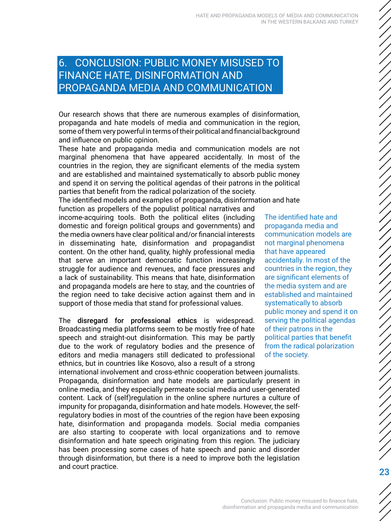# <span id="page-22-0"></span>6. CONCLUSION: PUBLIC MONEY MISUSED TO FINANCE HATE, DISINFORMATION AND PROPAGANDA MEDIA AND COMMUNICATION

Our research shows that there are numerous examples of disinformation, propaganda and hate models of media and communication in the region, some of them very powerful in terms of their political and financial background and influence on public opinion.

These hate and propaganda media and communication models are not marginal phenomena that have appeared accidentally. In most of the countries in the region, they are significant elements of the media system and are established and maintained systematically to absorb public money and spend it on serving the political agendas of their patrons in the political parties that benefit from the radical polarization of the society.

The identified models and examples of propaganda, disinformation and hate

function as propellers of the populist political narratives and income-acquiring tools. Both the political elites (including domestic and foreign political groups and governments) and the media owners have clear political and/or financial interests in disseminating hate, disinformation and propagandist content. On the other hand, quality, highly professional media that serve an important democratic function increasingly struggle for audience and revenues, and face pressures and a lack of sustainability. This means that hate, disinformation and propaganda models are here to stay, and the countries of the region need to take decisive action against them and in support of those media that stand for professional values.

The disregard for professional ethics is widespread. Broadcasting media platforms seem to be mostly free of hate speech and straight-out disinformation. This may be partly due to the work of regulatory bodies and the presence of editors and media managers still dedicated to professional ethnics, but in countries like Kosovo, also a result of a strong

international involvement and cross-ethnic cooperation between journalists. Propaganda, disinformation and hate models are particularly present in online media, and they especially permeate social media and user-generated content. Lack of (self)regulation in the online sphere nurtures a culture of impunity for propaganda, disinformation and hate models. However, the selfregulatory bodies in most of the countries of the region have been exposing hate, disinformation and propaganda models. Social media companies are also starting to cooperate with local organizations and to remove disinformation and hate speech originating from this region. The judiciary has been processing some cases of hate speech and panic and disorder through disinformation, but there is a need to improve both the legislation and court practice.

The identified hate and propaganda media and communication models are not marginal phenomena that have appeared accidentally. In most of the countries in the region, they are significant elements of the media system and are established and maintained systematically to absorb public money and spend it on serving the political agendas of their patrons in the political parties that benefit from the radical polarization of the society.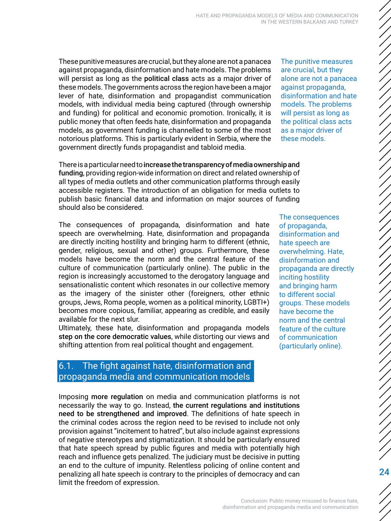These punitive measures are crucial, but they alone are not a panacea against propaganda, disinformation and hate models. The problems will persist as long as the political class acts as a major driver of these models. The governments across the region have been a major lever of hate, disinformation and propagandist communication models, with individual media being captured (through ownership and funding) for political and economic promotion. Ironically, it is public money that often feeds hate, disinformation and propaganda models, as government funding is channelled to some of the most notorious platforms. This is particularly evident in Serbia, where the government directly funds propagandist and tabloid media.

There is a particular need to increase the transparency of media ownership and funding, providing region-wide information on direct and related ownership of all types of media outlets and other communication platforms through easily accessible registers. The introduction of an obligation for media outlets to publish basic financial data and information on major sources of funding should also be considered.

The consequences of propaganda, disinformation and hate speech are overwhelming. Hate, disinformation and propaganda are directly inciting hostility and bringing harm to different (ethnic, gender, religious, sexual and other) groups. Furthermore, these models have become the norm and the central feature of the culture of communication (particularly online). The public in the region is increasingly accustomed to the derogatory language and sensationalistic content which resonates in our collective memory as the imagery of the sinister other (foreigners, other ethnic groups, Jews, Roma people, women as a political minority, LGBTI+) becomes more copious, familiar, appearing as credible, and easily available for the next slur.

Ultimately, these hate, disinformation and propaganda models step on the core democratic values, while distorting our views and shifting attention from real political thought and engagement.

# 6.1. The fight against hate, disinformation and propaganda media and communication models

Imposing more regulation on media and communication platforms is not necessarily the way to go. Instead, the current regulations and institutions need to be strengthened and improved. The definitions of hate speech in the criminal codes across the region need to be revised to include not only provision against "incitement to hatred", but also include against expressions of negative stereotypes and stigmatization. It should be particularly ensured that hate speech spread by public figures and media with potentially high reach and influence gets penalized. The judiciary must be decisive in putting an end to the culture of impunity. Relentless policing of online content and penalizing all hate speech is contrary to the principles of democracy and can limit the freedom of expression.

The punitive measures are crucial, but they alone are not a panacea against propaganda, disinformation and hate models. The problems will persist as long as the political class acts as a major driver of these models.

The consequences of propaganda, disinformation and hate speech are overwhelming. Hate, disinformation and propaganda are directly inciting hostility and bringing harm to different social groups. These models have become the norm and the central feature of the culture of communication (particularly online).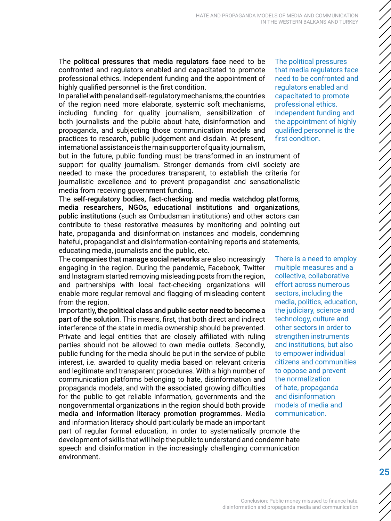<span id="page-24-0"></span>The political pressures that media regulators face need to be confronted and regulators enabled and capacitated to promote professional ethics. Independent funding and the appointment of highly qualified personnel is the first condition.

In parallel with penal and self-regulatory mechanisms, the countries of the region need more elaborate, systemic soft mechanisms, including funding for quality journalism, sensibilization of both journalists and the public about hate, disinformation and propaganda, and subjecting those communication models and practices to research, public judgement and disdain. At present, international assistance is the main supporter of quality journalism,

but in the future, public funding must be transformed in an instrument of support for quality journalism. Stronger demands from civil society are needed to make the procedures transparent, to establish the criteria for journalistic excellence and to prevent propagandist and sensationalistic media from receiving government funding.

The self-regulatory bodies, fact-checking and media watchdog platforms, media researchers, NGOs, educational institutions and organizations, public institutions (such as Ombudsman institutions) and other actors can contribute to these restorative measures by monitoring and pointing out hate, propaganda and disinformation instances and models, condemning hateful, propagandist and disinformation-containing reports and statements, educating media, journalists and the public, etc.

The companies that manage social networks are also increasingly engaging in the region. During the pandemic, Facebook, Twitter and Instagram started removing misleading posts from the region, and partnerships with local fact-checking organizations will enable more regular removal and flagging of misleading content from the region.

Importantly, the political class and public sector need to become a part of the solution. This means, first, that both direct and indirect interference of the state in media ownership should be prevented. Private and legal entities that are closely affiliated with ruling parties should not be allowed to own media outlets. Secondly, public funding for the media should be put in the service of public interest, i.e. awarded to quality media based on relevant criteria and legitimate and transparent procedures. With a high number of communication platforms belonging to hate, disinformation and propaganda models, and with the associated growing difficulties for the public to get reliable information, governments and the nongovernmental organizations in the region should both provide media and information literacy promotion programmes. Media and information literacy should particularly be made an important

sectors, including the

The political pressures that media regulators face need to be confronted and regulators enabled and capacitated to promote professional ethics. Independent funding and the appointment of highly qualified personnel is the first condition.

There is a need to employ multiple measures and a collective, collaborative effort across numerous media, politics, education, the judiciary, science and technology, culture and other sectors in order to strengthen instruments and institutions, but also to empower individual citizens and communities to oppose and prevent the normalization of hate, propaganda and disinformation models of media and communication.

part of regular formal education, in order to systematically promote the development of skills that will help the public to understand and condemn hate speech and disinformation in the increasingly challenging communication environment.

ノノノノノノノノノノノノノノノノノノノノノノノノノノノノノノノノノノノ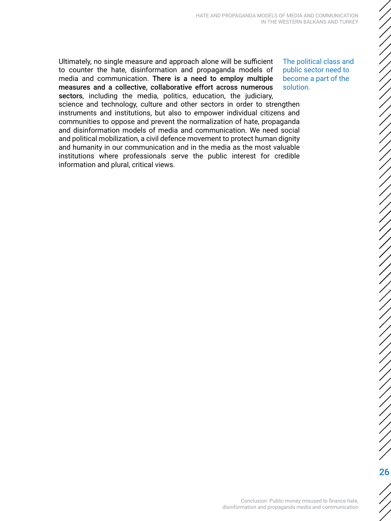Ultimately, no single measure and approach alone will be sufficient to counter the hate, disinformation and propaganda models of media and communication. There is a need to employ multiple measures and a collective, collaborative effort across numerous sectors, including the media, politics, education, the judiciary, science and technology, culture and other sectors in order to strengthen instruments and institutions, but also to empower individual citizens and communities to oppose and prevent the normalization of hate, propaganda and disinformation models of media and communication. We need social and political mobilization, a civil defence movement to protect human dignity and humanity in our communication and in the media as the most valuable institutions where professionals serve the public interest for credible information and plural, critical views.

The political class and public sector need to become a part of the solution.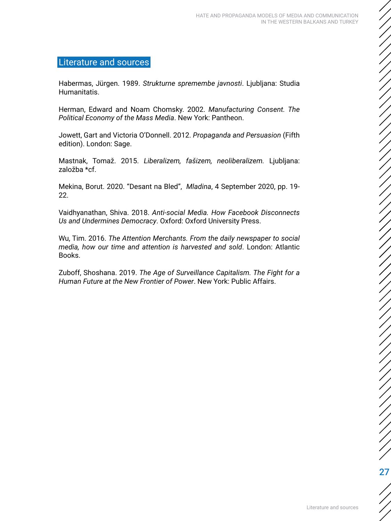### <span id="page-26-0"></span>Literature and sources

Habermas, Jürgen. 1989. *Strukturne spremembe javnosti*. Ljubljana: Studia Humanitatis.

Herman, Edward and Noam Chomsky. 2002. *Manufacturing Consent. The Political Economy of the Mass Media*. New York: Pantheon.

Jowett, Gart and Victoria O'Donnell. 2012. *Propaganda and Persuasion* (Fifth edition). London: Sage.

Mastnak, Tomaž. 2015. *Liberalizem, fašizem, neoliberalizem.* Ljubljana: založba \*cf.

Mekina, Borut. 2020. "Desant na Bled", *Mladina*, 4 September 2020, pp. 19- 22.

Vaidhyanathan, Shiva. 2018. *Anti-social Media. How Facebook Disconnects Us and Undermines Democracy*. Oxford: Oxford University Press.

Wu, Tim. 2016. *The Attention Merchants. From the daily newspaper to social media, how our time and attention is harvested and sold*. London: Atlantic Books.

Zuboff, Shoshana. 2019. *The Age of Surveillance Capitalism. The Fight for a Human Future at the New Frontier of Power*. New York: Public Affairs.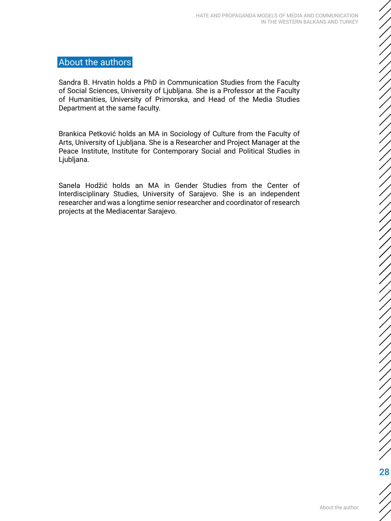## <span id="page-27-0"></span>About the authors

Sandra B. Hrvatin holds a PhD in Communication Studies from the Faculty of Social Sciences, University of Ljubljana. She is a Professor at the Faculty of Humanities, University of Primorska, and Head of the Media Studies Department at the same faculty.

Brankica Petković holds an MA in Sociology of Culture from the Faculty of Arts, University of Ljubljana. She is a Researcher and Project Manager at the Peace Institute, Institute for Contemporary Social and Political Studies in Ljubljana.

Sanela Hodžić holds an MA in Gender Studies from the Center of Interdisciplinary Studies, University of Sarajevo. She is an independent researcher and was a longtime senior researcher and coordinator of research projects at the Mediacentar Sarajevo.